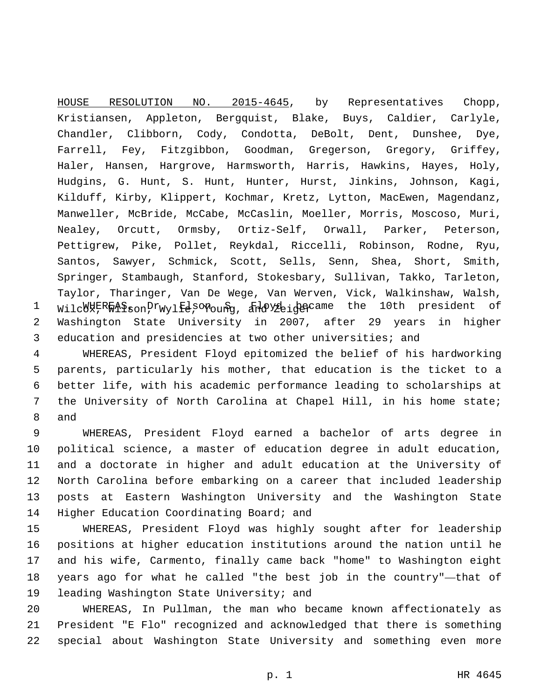1 Wilc<sup>00</sup>X, World Bon, Prwylfe, Yonoung, and Young became the 10th president of 2 Washington State University in 2007, after 29 years in higher 3 education and presidencies at two other universities; and HOUSE RESOLUTION NO. 2015-4645, by Representatives Chopp, Kristiansen, Appleton, Bergquist, Blake, Buys, Caldier, Carlyle, Chandler, Clibborn, Cody, Condotta, DeBolt, Dent, Dunshee, Dye, Farrell, Fey, Fitzgibbon, Goodman, Gregerson, Gregory, Griffey, Haler, Hansen, Hargrove, Harmsworth, Harris, Hawkins, Hayes, Holy, Hudgins, G. Hunt, S. Hunt, Hunter, Hurst, Jinkins, Johnson, Kagi, Kilduff, Kirby, Klippert, Kochmar, Kretz, Lytton, MacEwen, Magendanz, Manweller, McBride, McCabe, McCaslin, Moeller, Morris, Moscoso, Muri, Nealey, Orcutt, Ormsby, Ortiz-Self, Orwall, Parker, Peterson, Pettigrew, Pike, Pollet, Reykdal, Riccelli, Robinson, Rodne, Ryu, Santos, Sawyer, Schmick, Scott, Sells, Senn, Shea, Short, Smith, Springer, Stambaugh, Stanford, Stokesbary, Sullivan, Takko, Tarleton, Taylor, Tharinger, Van De Wege, Van Werven, Vick, Walkinshaw, Walsh,

 WHEREAS, President Floyd epitomized the belief of his hardworking parents, particularly his mother, that education is the ticket to a better life, with his academic performance leading to scholarships at the University of North Carolina at Chapel Hill, in his home state; 8 and

 WHEREAS, President Floyd earned a bachelor of arts degree in political science, a master of education degree in adult education, and a doctorate in higher and adult education at the University of North Carolina before embarking on a career that included leadership posts at Eastern Washington University and the Washington State 14 Higher Education Coordinating Board; and

 WHEREAS, President Floyd was highly sought after for leadership positions at higher education institutions around the nation until he and his wife, Carmento, finally came back "home" to Washington eight years ago for what he called "the best job in the country"—that of 19 leading Washington State University; and

20 WHEREAS, In Pullman, the man who became known affectionately as 21 President "E Flo" recognized and acknowledged that there is something 22 special about Washington State University and something even more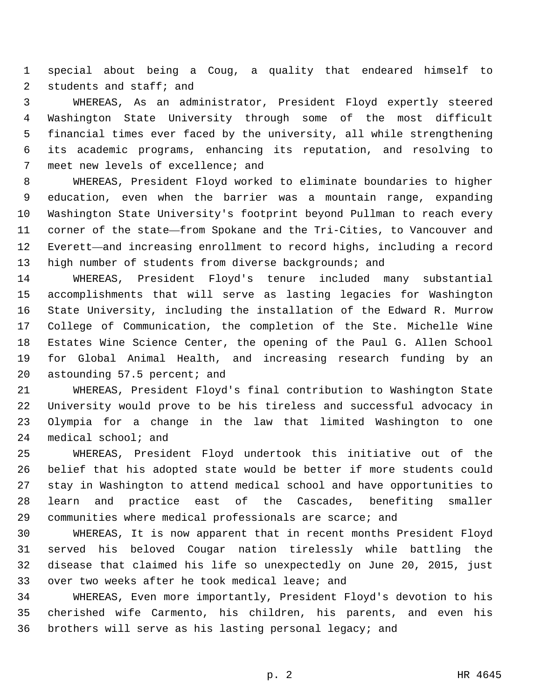special about being a Coug, a quality that endeared himself to 2 students and staff; and

 WHEREAS, As an administrator, President Floyd expertly steered Washington State University through some of the most difficult financial times ever faced by the university, all while strengthening its academic programs, enhancing its reputation, and resolving to 7 meet new levels of excellence; and

 WHEREAS, President Floyd worked to eliminate boundaries to higher education, even when the barrier was a mountain range, expanding Washington State University's footprint beyond Pullman to reach every corner of the state—from Spokane and the Tri-Cities, to Vancouver and Everett—and increasing enrollment to record highs, including a record high number of students from diverse backgrounds; and

 WHEREAS, President Floyd's tenure included many substantial accomplishments that will serve as lasting legacies for Washington State University, including the installation of the Edward R. Murrow College of Communication, the completion of the Ste. Michelle Wine Estates Wine Science Center, the opening of the Paul G. Allen School for Global Animal Health, and increasing research funding by an 20 astounding 57.5 percent; and

 WHEREAS, President Floyd's final contribution to Washington State University would prove to be his tireless and successful advocacy in Olympia for a change in the law that limited Washington to one medical school; and

 WHEREAS, President Floyd undertook this initiative out of the belief that his adopted state would be better if more students could stay in Washington to attend medical school and have opportunities to learn and practice east of the Cascades, benefiting smaller communities where medical professionals are scarce; and

 WHEREAS, It is now apparent that in recent months President Floyd served his beloved Cougar nation tirelessly while battling the disease that claimed his life so unexpectedly on June 20, 2015, just 33 over two weeks after he took medical leave; and

 WHEREAS, Even more importantly, President Floyd's devotion to his cherished wife Carmento, his children, his parents, and even his brothers will serve as his lasting personal legacy; and